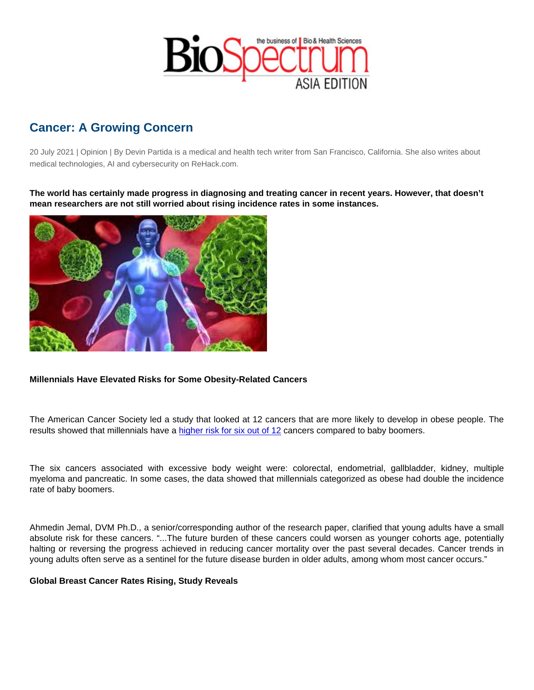## Cancer: A Growing Concern

20 July 2021 | Opinion | By Devin Partida is a medical and health tech writer from San Francisco, California. She also writes about medical technologies, AI and cybersecurity on ReHack.com.

The world has certainly made progress in diagnosing and treating cancer in recent years. However, that doesn't mean researchers are not still worried about rising incidence rates in some instances.

Millennials Have Elevated Risks for Some Obesity-Related Cancers

The American Cancer Society led a study that looked at 12 cancers that are more likely to develop in obese people. The results showed that millennials have a [higher risk for six out of 12](http://pressroom.cancer.org/JemalTrendsInYoung2019) cancers compared to baby boomers.

The six cancers associated with excessive body weight were: colorectal, endometrial, gallbladder, kidney, multiple myeloma and pancreatic. In some cases, the data showed that millennials categorized as obese had double the incidence rate of baby boomers.

Ahmedin Jemal, DVM Ph.D., a senior/corresponding author of the research paper, clarified that young adults have a small absolute risk for these cancers. "...The future burden of these cancers could worsen as younger cohorts age, potentially halting or reversing the progress achieved in reducing cancer mortality over the past several decades. Cancer trends in young adults often serve as a sentinel for the future disease burden in older adults, among whom most cancer occurs."

Global Breast Cancer Rates Rising, Study Reveals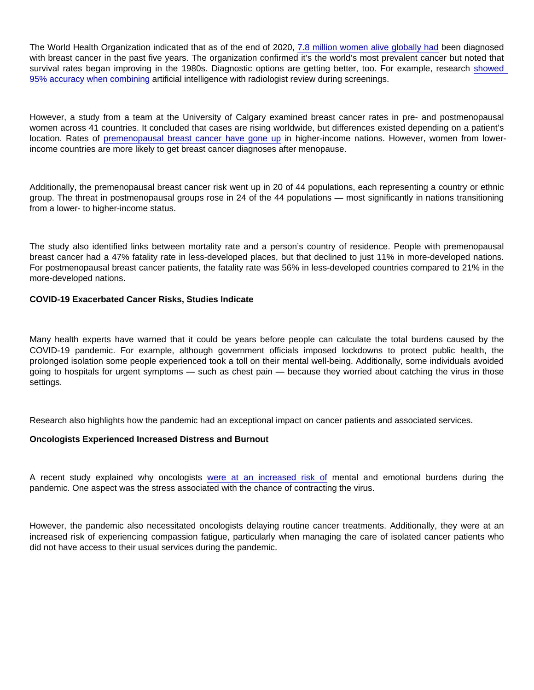The World Health Organization indicated that as of the end of 2020, [7.8 million women alive globally had](https://www.who.int/news-room/fact-sheets/detail/breast-cancer) been diagnosed with breast cancer in the past five years. The organization confirmed it's the world's most prevalent cancer but noted that survival rates began improving in the 1980s. Diagnostic options are getting better, too. For example, research [showed](https://rehack.com/trending/science/6-ways-ai-can-improve-clinical-efficiency/)  [95% accuracy when combining](https://rehack.com/trending/science/6-ways-ai-can-improve-clinical-efficiency/) artificial intelligence with radiologist review during screenings.

However, a study from a team at the University of Calgary examined breast cancer rates in pre- and postmenopausal women across 41 countries. It concluded that cases are rising worldwide, but differences existed depending on a patient's location. Rates of [premenopausal breast cancer have gone up](https://www.ucalgary.ca/news/ucalgary-study-finds-global-trends-womens-breast-cancer-show-cause-concern) in higher-income nations. However, women from lowerincome countries are more likely to get breast cancer diagnoses after menopause.

Additionally, the premenopausal breast cancer risk went up in 20 of 44 populations, each representing a country or ethnic group. The threat in postmenopausal groups rose in 24 of the 44 populations — most significantly in nations transitioning from a lower- to higher-income status.

The study also identified links between mortality rate and a person's country of residence. People with premenopausal breast cancer had a 47% fatality rate in less-developed places, but that declined to just 11% in more-developed nations. For postmenopausal breast cancer patients, the fatality rate was 56% in less-developed countries compared to 21% in the more-developed nations.

COVID-19 Exacerbated Cancer Risks, Studies Indicate

Many health experts have warned that it could be years before people can calculate the total burdens caused by the COVID-19 pandemic. For example, although government officials imposed lockdowns to protect public health, the prolonged isolation some people experienced took a toll on their mental well-being. Additionally, some individuals avoided going to hospitals for urgent symptoms — such as chest pain — because they worried about catching the virus in those settings.

Research also highlights how the pandemic had an exceptional impact on cancer patients and associated services.

Oncologists Experienced Increased Distress and Burnout

A recent study explained why oncologists [were at an increased risk of](https://ascopubs.org/doi/full/10.1200/OP.20.00937) mental and emotional burdens during the pandemic. One aspect was the stress associated with the chance of contracting the virus.

However, the pandemic also necessitated oncologists delaying routine cancer treatments. Additionally, they were at an increased risk of experiencing compassion fatigue, particularly when managing the care of isolated cancer patients who did not have access to their usual services during the pandemic.